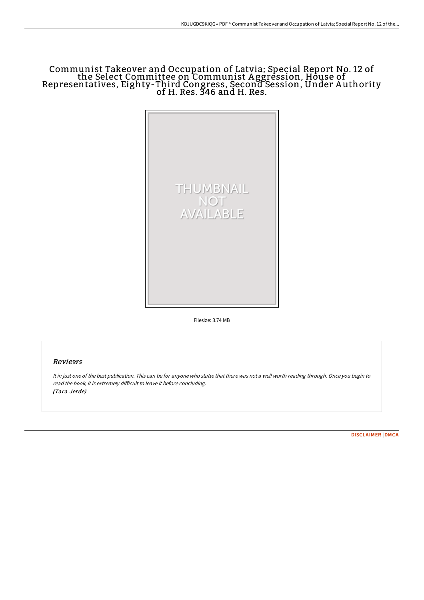# Communist Takeover and Occupation of Latvia; Special Report No. 12 of the Select Committee on Communist A ggression, House of Representatives, Eighty-Third Congress, Second Session, Under A uthority of H. Res. 346 and H. Res.



Filesize: 3.74 MB

# Reviews

It in just one of the best publication. This can be for anyone who statte that there was not <sup>a</sup> well worth reading through. Once you begin to read the book, it is extremely difficult to leave it before concluding. (Tara Jerde)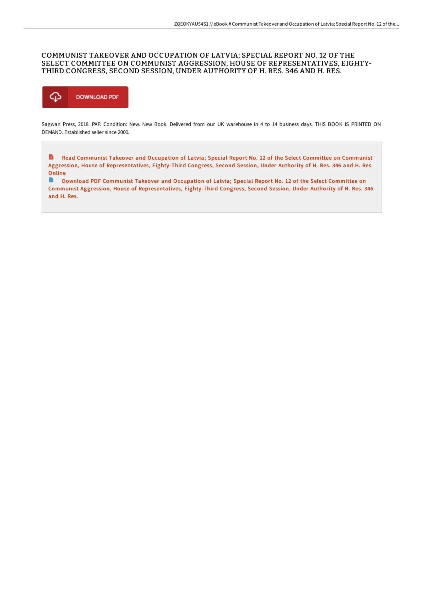## COMMUNIST TAKEOVER AND OCCUPATION OF LATVIA; SPECIAL REPORT NO. 12 OF THE SELECT COMMITTEE ON COMMUNIST AGGRESSION, HOUSE OF REPRESENTATIVES, EIGHTY-THIRD CONGRESS, SECOND SESSION, UNDER AUTHORITY OF H. RES. 346 AND H. RES.



Sagwan Press, 2018. PAP. Condition: New. New Book. Delivered from our UK warehouse in 4 to 14 business days. THIS BOOK IS PRINTED ON DEMAND. Established seller since 2000.

 $\mathbf{E}$ Read Communist Takeover and Occupation of Latvia; Special Report No. 12 of the Select Committee on Communist Aggression, House of [Representatives,](http://albedo.media/communist-takeover-and-occupation-of-latvia-spec.html) Eighty-Third Congress, Second Session, Under Authority of H. Res. 346 and H. Res. Online

 $\blacksquare$ Download PDF Communist Takeover and Occupation of Latvia; Special Report No. 12 of the Select Committee on Communist Aggression, House of [Representatives,](http://albedo.media/communist-takeover-and-occupation-of-latvia-spec.html) Eighty-Third Congress, Second Session, Under Authority of H. Res. 346 and H. Res.